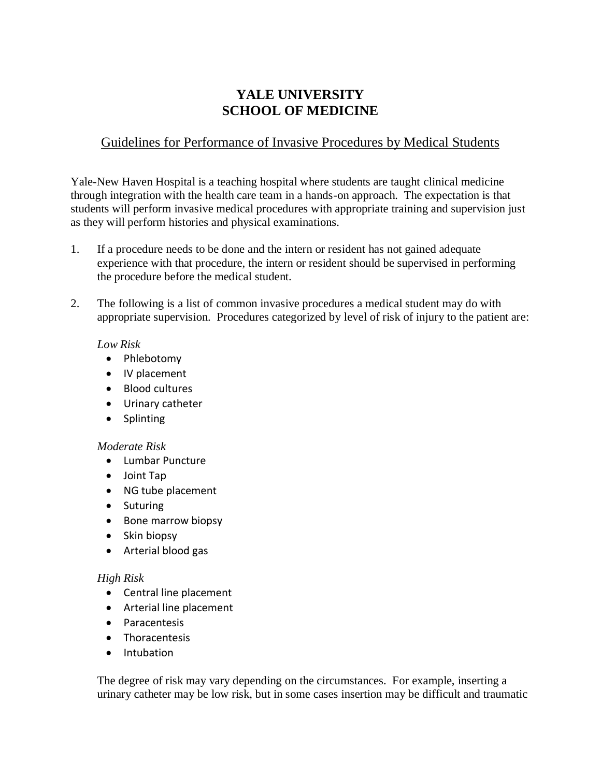# **YALE UNIVERSITY SCHOOL OF MEDICINE**

## Guidelines for Performance of Invasive Procedures by Medical Students

Yale-New Haven Hospital is a teaching hospital where students are taught clinical medicine through integration with the health care team in a hands-on approach. The expectation is that students will perform invasive medical procedures with appropriate training and supervision just as they will perform histories and physical examinations.

- 1. If a procedure needs to be done and the intern or resident has not gained adequate experience with that procedure, the intern or resident should be supervised in performing the procedure before the medical student.
- 2. The following is a list of common invasive procedures a medical student may do with appropriate supervision. Procedures categorized by level of risk of injury to the patient are:

#### *Low Risk*

- Phlebotomy
- IV placement
- Blood cultures
- Urinary catheter
- Splinting

## *Moderate Risk*

- Lumbar Puncture
- Joint Tap
- NG tube placement
- Suturing
- Bone marrow biopsy
- Skin biopsy
- Arterial blood gas

## *High Risk*

- Central line placement
- Arterial line placement
- Paracentesis
- Thoracentesis
- Intubation

The degree of risk may vary depending on the circumstances. For example, inserting a urinary catheter may be low risk, but in some cases insertion may be difficult and traumatic